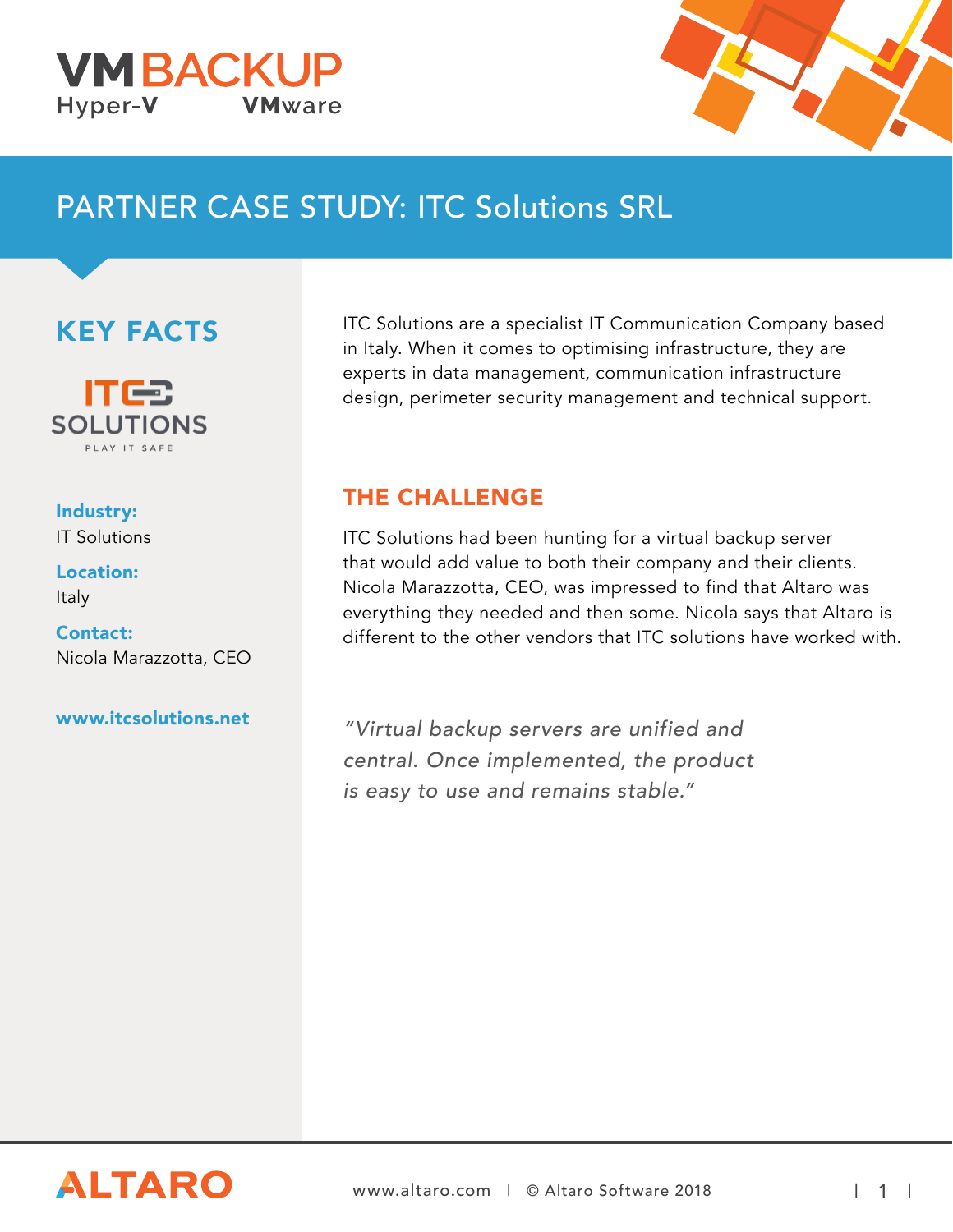



# PARTNER CASE STUDY: ITC Solutions SRL

## KEY FACTS



#### Industry: IT Solutions

Location: Italy

Contact: Nicola Marazzotta, CEO

#### www.itcsolutions.net

ITC Solutions are a specialist IT Communication Company based in Italy. When it comes to optimising infrastructure, they are experts in data management, communication infrastructure design, perimeter security management and technical support.

#### THE CHALLENGE

ITC Solutions had been hunting for a virtual backup server that would add value to both their company and their clients. Nicola Marazzotta, CEO, was impressed to find that Altaro was everything they needed and then some. Nicola says that Altaro is different to the other vendors that ITC solutions have worked with.

"Virtual backup servers are unified and central. Once implemented, the product is easy to use and remains stable."